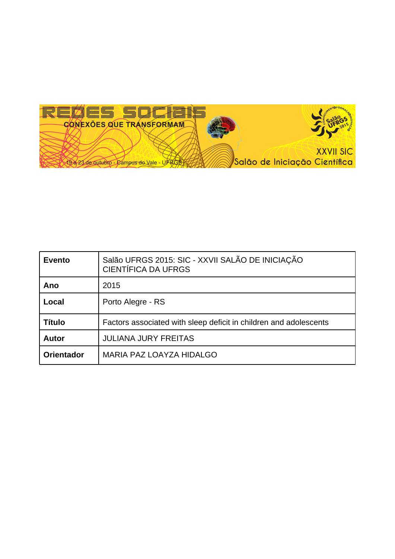

| <b>Evento</b>     | Salão UFRGS 2015: SIC - XXVII SALÃO DE INICIAÇÃO<br><b>CIENTÍFICA DA UFRGS</b> |
|-------------------|--------------------------------------------------------------------------------|
| Ano               | 2015                                                                           |
| Local             | Porto Alegre - RS                                                              |
| <b>Título</b>     | Factors associated with sleep deficit in children and adolescents              |
| <b>Autor</b>      | <b>JULIANA JURY FREITAS</b>                                                    |
| <b>Orientador</b> | MARIA PAZ LOAYZA HIDALGO                                                       |